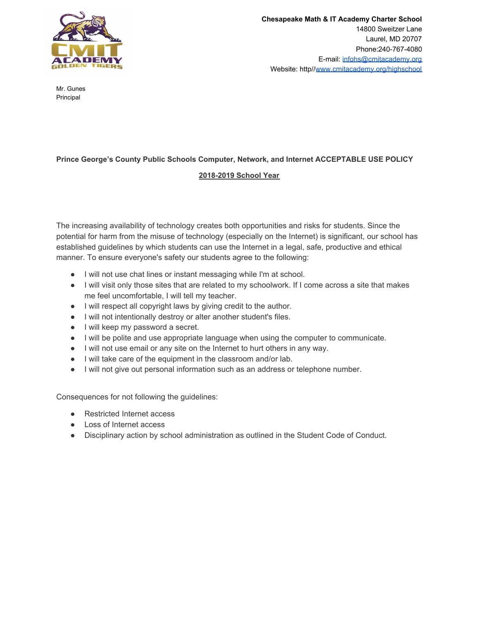

Mr. Gunes Principal

## **Prince George's County Public Schools Computer, Network, and Internet ACCEPTABLE USE POLICY**

## **2018-2019 School Year**

The increasing availability of technology creates both opportunities and risks for students. Since the potential for harm from the misuse of technology (especially on the Internet) is significant, our school has established guidelines by which students can use the Internet in a legal, safe, productive and ethical manner. To ensure everyone's safety our students agree to the following:

- I will not use chat lines or instant messaging while I'm at school.
- I will visit only those sites that are related to my schoolwork. If I come across a site that makes me feel uncomfortable, I will tell my teacher.
- I will respect all copyright laws by giving credit to the author.
- I will not intentionally destroy or alter another student's files.
- I will keep my password a secret.
- I will be polite and use appropriate language when using the computer to communicate.
- I will not use email or any site on the Internet to hurt others in any way.
- I will take care of the equipment in the classroom and/or lab.
- I will not give out personal information such as an address or telephone number.

Consequences for not following the guidelines:

- Restricted Internet access
- Loss of Internet access
- Disciplinary action by school administration as outlined in the Student Code of Conduct.